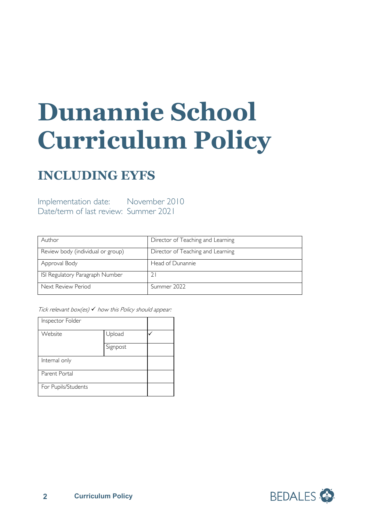# **Dunannie School Curriculum Policy**

## **INCLUDING EYFS**

Implementation date: November 2010 Date/term of last review: Summer 2021

| Author                            | Director of Teaching and Learning |
|-----------------------------------|-----------------------------------|
| Review body (individual or group) | Director of Teaching and Learning |
| Approval Body                     | Head of Dunannie                  |
| ISI Regulatory Paragraph Number   |                                   |
| Next Review Period                | Summer 2022                       |

Tick relevant box(es)  $\checkmark$  how this Policy should appear:

| Inspector Folder    |          |  |
|---------------------|----------|--|
| Website             | Upload   |  |
|                     | Signpost |  |
| Internal only       |          |  |
| Parent Portal       |          |  |
| For Pupils/Students |          |  |

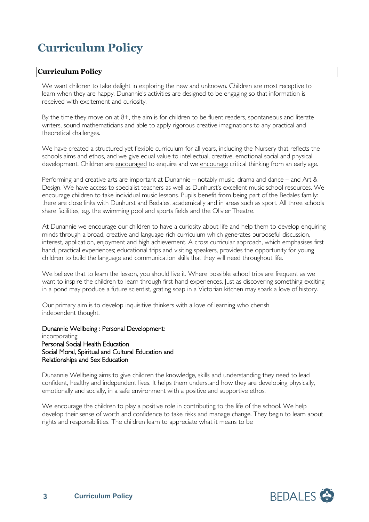### **Curriculum Policy**

#### **Curriculum Policy**

We want children to take delight in exploring the new and unknown. Children are most receptive to learn when they are happy. Dunannie's activities are designed to be engaging so that information is received with excitement and curiosity.

By the time they move on at 8+, the aim is for children to be fluent readers, spontaneous and literate writers, sound mathematicians and able to apply rigorous creative imaginations to any practical and theoretical challenges.

We have created a structured yet flexible curriculum for all years, including the Nursery that reflects the schools aims and ethos, and we give equal value to intellectual, creative, emotional social and physical development. Children are encouraged to enquire and we encourage critical thinking from an early age.

Performing and creative arts are important at Dunannie – notably music, drama and dance – and Art & Design. We have access to specialist teachers as well as Dunhurst's excellent music school resources. We encourage children to take individual music lessons. Pupils benefit from being part of the Bedales family: there are close links with Dunhurst and Bedales, academically and in areas such as sport. All three schools share facilities, e.g. the swimming pool and sports fields and the Olivier Theatre.

At Dunannie we encourage our children to have a curiosity about life and help them to develop enquiring minds through a broad, creative and language-rich curriculum which generates purposeful discussion, interest, application, enjoyment and high achievement. A cross curricular approach, which emphasises first hand, practical experiences; educational trips and visiting speakers, provides the opportunity for young children to build the language and communication skills that they will need throughout life.

We believe that to learn the lesson, you should live it. Where possible school trips are frequent as we want to inspire the children to learn through first-hand experiences. Just as discovering something exciting in a pond may produce a future scientist, grating soap in a Victorian kitchen may spark a love of history.

Our primary aim is to develop inquisitive thinkers with a love of learning who cherish independent thought.

Dunannie Wellbeing : Personal Development: incorporating Personal Social Health Education Social Moral, Spiritual and Cultural Education and Relationships and Sex Education

Dunannie Wellbeing aims to give children the knowledge, skills and understanding they need to lead confident, healthy and independent lives. It helps them understand how they are developing physically, emotionally and socially, in a safe environment with a positive and supportive ethos.

We encourage the children to play a positive role in contributing to the life of the school. We help develop their sense of worth and confidence to take risks and manage change. They begin to learn about rights and responsibilities. The children learn to appreciate what it means to be

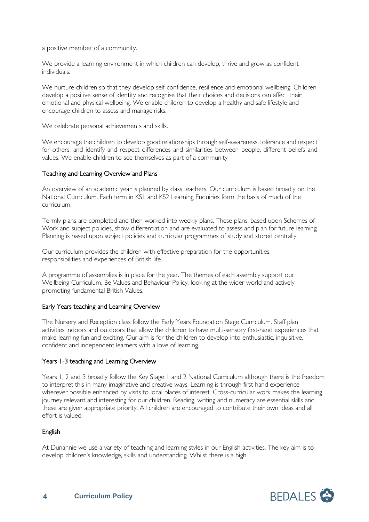a positive member of a community.

We provide a learning environment in which children can develop, thrive and grow as confident individuals.

We nurture children so that they develop self-confidence, resilience and emotional wellbeing. Children develop a positive sense of identity and recognise that their choices and decisions can affect their emotional and physical wellbeing. We enable children to develop a healthy and safe lifestyle and encourage children to assess and manage risks.

We celebrate personal achievements and skills.

We encourage the children to develop good relationships through self-awareness, tolerance and respect for others, and identify and respect differences and similarities between people, different beliefs and values. We enable children to see themselves as part of a community

#### Teaching and Learning Overview and Plans

An overview of an academic year is planned by class teachers. Our curriculum is based broadly on the National Curriculum. Each term in KS1 and KS2 Learning Enquiries form the basis of much of the curriculum.

Termly plans are completed and then worked into weekly plans. These plans, based upon Schemes of Work and subject policies, show differentiation and are evaluated to assess and plan for future learning. Planning is based upon subject policies and curricular programmes of study and stored centrally.

Our curriculum provides the children with effective preparation for the opportunities, responsibilities and experiences of British life.

A programme of assemblies is in place for the year. The themes of each assembly support our Wellbeing Curriculum, Be Values and Behaviour Policy, looking at the wider world and actively promoting fundamental British Values.

#### Early Years teaching and Learning Overview

The Nursery and Reception class follow the Early Years Foundation Stage Curriculum. Staff plan activities indoors and outdoors that allow the children to have multi-sensory first-hand experiences that make learning fun and exciting. Our aim is for the children to develop into enthusiastic, inquisitive, confident and independent learners with a love of learning.

#### Years 1-3 teaching and Learning Overview

Years 1, 2 and 3 broadly follow the Key Stage 1 and 2 National Curriculum although there is the freedom to interpret this in many imaginative and creative ways. Learning is through first-hand experience wherever possible enhanced by visits to local places of interest. Cross-curricular work makes the learning journey relevant and interesting for our children. Reading, writing and numeracy are essential skills and these are given appropriate priority. All children are encouraged to contribute their own ideas and all effort is valued.

#### English

At Dunannie we use a variety of teaching and learning styles in our English activities. The key aim is to develop children's knowledge, skills and understanding. Whilst there is a high

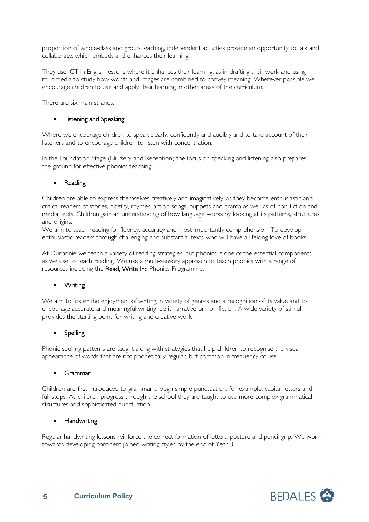proportion of whole-class and group teaching, independent activities provide an opportunity to talk and collaborate, which embeds and enhances their learning.

They use ICT in English lessons where it enhances their learning, as in drafting their work and using multimedia to study how words and images are combined to convey meaning. Wherever possible we encourage children to use and apply their learning in other areas of the curriculum.

There are six main strands:

#### • Listening and Speaking

Where we encourage children to speak clearly, confidently and audibly and to take account of their listeners and to encourage children to listen with concentration.

In the Foundation Stage (Nursery and Reception) the focus on speaking and listening also prepares the ground for effective phonics teaching.

#### **Reading**

Children are able to express themselves creatively and imaginatively, as they become enthusiastic and critical readers of stories, poetry, rhymes, action songs, puppets and drama as well as of non-fiction and media texts. Children gain an understanding of how language works by looking at its patterns, structures and origins.

We aim to teach reading for fluency, accuracy and most importantly comprehension. To develop enthusiastic readers through challenging and substantial texts who will have a lifelong love of books.

At Dunannie we teach a variety of reading strategies, but phonics is one of the essential components as we use to teach reading. We use a multi-sensory approach to teach phonics with a range of resources including the Read, Write Inc Phonics Programme.

#### • Writing

We aim to foster the enjoyment of writing in variety of genres and a recognition of its value and to encourage accurate and meaningful writing, be it narrative or non-fiction. A wide variety of stimuli provides the starting point for writing and creative work.

#### **Spelling**

Phonic spelling patterns are taught along with strategies that help children to recognise the visual appearance of words that are not phonetically regular, but common in frequency of use.

#### • Grammar

Children are first introduced to grammar though simple punctuation, for example, capital letters and full stops. As children progress through the school they are taught to use more complex grammatical structures and sophisticated punctuation.

#### • Handwriting

Regular handwriting lessons reinforce the correct formation of letters, posture and pencil grip. We work towards developing confident joined writing styles by the end of Year 3.

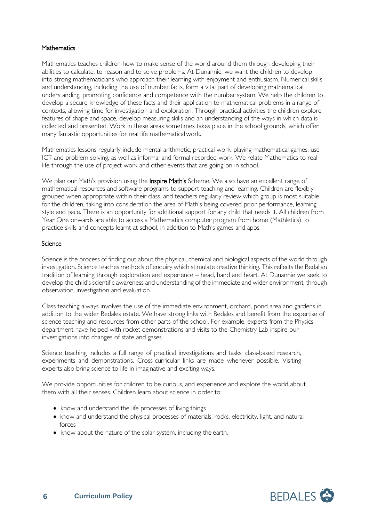#### **Mathematics**

Mathematics teaches children how to make sense of the world around them through developing their abilities to calculate, to reason and to solve problems. At Dunannie, we want the children to develop into strong mathematicians who approach their learning with enjoyment and enthusiasm. Numerical skills and understanding, including the use of number facts, form a vital part of developing mathematical understanding, promoting confidence and competence with the number system. We help the children to develop a secure knowledge of these facts and their application to mathematical problems in a range of contexts, allowing time for investigation and exploration. Through practical activities the children explore features of shape and space, develop measuring skills and an understanding of the ways in which data is collected and presented. Work in these areas sometimes takes place in the school grounds, which offer many fantastic opportunities for real life mathematical work.

Mathematics lessons regularly include mental arithmetic, practical work, playing mathematical games, use ICT and problem solving, as well as informal and formal recorded work. We relate Mathematics to real life through the use of project work and other events that are going on in school.

We plan our Math's provision using the **Inspire Math's** Scheme. We also have an excellent range of mathematical resources and software programs to support teaching and learning. Children are flexibly grouped when appropriate within their class, and teachers regularly review which group is most suitable for the children, taking into consideration the area of Math's being covered prior performance, learning style and pace. There is an opportunity for additional support for any child that needs it. All children from Year One onwards are able to access a Mathematics computer program from home (Mathletics) to practice skills and concepts learnt at school, in addition to Math's games and apps.

#### **Science**

Science is the process of finding out about the physical, chemical and biological aspects of the world through investigation. Science teaches methods of enquiry which stimulate creative thinking. This reflects the Bedalian tradition of learning through exploration and experience – head, hand and heart. At Dunannie we seek to develop the child's scientific awareness and understanding of the immediate and wider environment, through observation, investigation and evaluation.

Class teaching always involves the use of the immediate environment, orchard, pond area and gardens in addition to the wider Bedales estate. We have strong links with Bedales and benefit from the expertise of science teaching and resources from other parts of the school. For example, experts from the Physics department have helped with rocket demonstrations and visits to the Chemistry Lab inspire our investigations into changes of state and gases.

Science teaching includes a full range of practical investigations and tasks, class-based research, experiments and demonstrations. Cross-curricular links are made whenever possible. Visiting experts also bring science to life in imaginative and exciting ways.

We provide opportunities for children to be curious, and experience and explore the world about them with all their senses. Children learn about science in order to:

- know and understand the life processes of living things
- know and understand the physical processes of materials, rocks, electricity, light, and natural forces
- know about the nature of the solar system, including the earth.

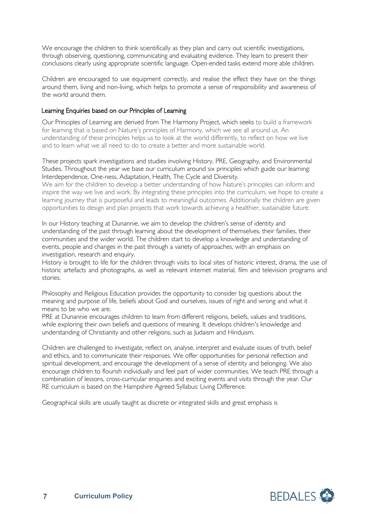We encourage the children to think scientifically as they plan and carry out scientific investigations, through observing, questioning, communicating and evaluating evidence. They learn to present their conclusions clearly using appropriate scientific language. Open-ended tasks extend more able children.

Children are encouraged to use equipment correctly, and realise the effect they have on the things around them, living and non-living, which helps to promote a sense of responsibility and awareness of the world around them.

#### Learning Enquiries based on our Principles of Learning

Our Principles of Learning are derived from The Harmony Project, which seeks to build a framework for learning that is based on Nature's principles of Harmony, which we see all around us. An understanding of these principles helps us to look at the world differently, to reflect on how we live and to learn what we all need to do to create a better and more sustainable world.

These projects spark investigations and studies involving History, PRE, Geography, and Environmental Studies. Throughout the year we base our curriculum around six principles which guide our learning: Interdependence, One-ness, Adaptation, Health, The Cycle and Diversity.

We aim for the children to develop a better understanding of how Nature's principles can inform and inspire the way we live and work. By integrating these principles into the curriculum, we hope to create a learning journey that is purposeful and leads to meaningful outcomes. Additionally the children are given opportunities to design and plan projects that work towards achieving a healthier, sustainable future.

In our History teaching at Dunannie, we aim to develop the children's sense of identity and understanding of the past through learning about the development of themselves, their families, their communities and the wider world. The children start to develop a knowledge and understanding of events, people and changes in the past through a variety of approaches, with an emphasis on investigation, research and enquiry.

History is brought to life for the children through visits to local sites of historic interest, drama, the use of historic artefacts and photographs, as well as relevant internet material, film and television programs and stories.

Philosophy and Religious Education provides the opportunity to consider big questions about the meaning and purpose of life, beliefs about God and ourselves, issues of right and wrong and what it means to be who we are.

PRE at Dunannie encourages children to learn from different religions, beliefs, values and traditions, while exploring their own beliefs and questions of meaning. It develops children's knowledge and understanding of Christianity and other religions, such as Judaism and Hinduism.

Children are challenged to investigate, reflect on, analyse, interpret and evaluate issues of truth, belief and ethics, and to communicate their responses. We offer opportunities for personal reflection and spiritual development, and encourage the development of a sense of identity and belonging. We also encourage children to flourish individually and feel part of wider communities. We teach PRE through a combination of lessons, cross-curricular enquiries and exciting events and visits through the year. Our RE curriculum is based on the Hampshire Agreed Syllabus: Living Difference.

Geographical skills are usually taught as discrete or integrated skills and great emphasis is

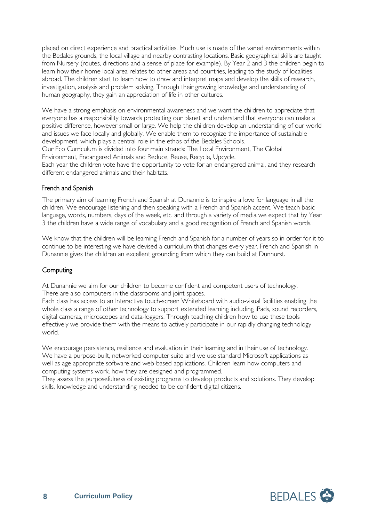placed on direct experience and practical activities. Much use is made of the varied environments within the Bedales grounds, the local village and nearby contrasting locations. Basic geographical skills are taught from Nursery (routes, directions and a sense of place for example). By Year 2 and 3 the children begin to learn how their home local area relates to other areas and countries, leading to the study of localities abroad. The children start to learn how to draw and interpret maps and develop the skills of research, investigation, analysis and problem solving. Through their growing knowledge and understanding of human geography, they gain an appreciation of life in other cultures.

We have a strong emphasis on environmental awareness and we want the children to appreciate that everyone has a responsibility towards protecting our planet and understand that everyone can make a positive difference, however small or large. We help the children develop an understanding of our world and issues we face locally and globally. We enable them to recognize the importance of sustainable development, which plays a central role in the ethos of the Bedales Schools.

Our Eco Curriculum is divided into four main strands: The Local Environment, The Global Environment, Endangered Animals and Reduce, Reuse, Recycle, Upcycle.

Each year the children vote have the opportunity to vote for an endangered animal, and they research different endangered animals and their habitats.

#### French and Spanish

The primary aim of learning French and Spanish at Dunannie is to inspire a love for language in all the children. We encourage listening and then speaking with a French and Spanish accent. We teach basic language, words, numbers, days of the week, etc. and through a variety of media we expect that by Year 3 the children have a wide range of vocabulary and a good recognition of French and Spanish words.

We know that the children will be learning French and Spanish for a number of years so in order for it to continue to be interesting we have devised a curriculum that changes every year. French and Spanish in Dunannie gives the children an excellent grounding from which they can build at Dunhurst.

#### **Computing**

At Dunannie we aim for our children to become confident and competent users of technology. There are also computers in the classrooms and joint spaces.

Each class has access to an Interactive touch-screen Whiteboard with audio-visual facilities enabling the whole class a range of other technology to support extended learning including iPads, sound recorders, digital cameras, microscopes and data-loggers. Through teaching children how to use these tools effectively we provide them with the means to actively participate in our rapidly changing technology world.

We encourage persistence, resilience and evaluation in their learning and in their use of technology. We have a purpose-built, networked computer suite and we use standard Microsoft applications as well as age appropriate software and web-based applications. Children learn how computers and computing systems work, how they are designed and programmed.

They assess the purposefulness of existing programs to develop products and solutions. They develop skills, knowledge and understanding needed to be confident digital citizens.

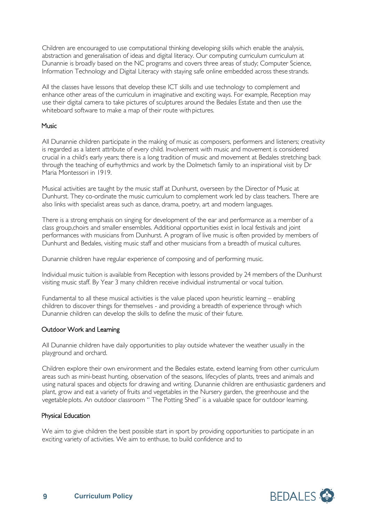Children are encouraged to use computational thinking developing skills which enable the analysis, abstraction and generalisation of ideas and digital literacy. Our computing curriculum curriculum at Dunannie is broadly based on the NC programs and covers three areas of study; Computer Science, Information Technology and Digital Literacy with staying safe online embedded across these strands.

All the classes have lessons that develop these ICT skills and use technology to complement and enhance other areas of the curriculum in imaginative and exciting ways. For example, Reception may use their digital camera to take pictures of sculptures around the Bedales Estate and then use the whiteboard software to make a map of their route with pictures.

#### **Music**

All Dunannie children participate in the making of music as composers, performers and listeners; creativity is regarded as a latent attribute of every child. Involvement with music and movement is considered crucial in a child's early years; there is a long tradition of music and movement at Bedales stretching back through the teaching of eurhythmics and work by the Dolmetsch family to an inspirational visit by Dr Maria Montessori in 1919.

Musical activities are taught by the music staff at Dunhurst, overseen by the Director of Music at Dunhurst. They co-ordinate the music curriculum to complement work led by class teachers. There are also links with specialist areas such as dance, drama, poetry, art and modern languages.

There is a strong emphasis on singing for development of the ear and performance as a member of a class group,choirs and smaller ensembles. Additional opportunities exist in local festivals and joint performances with musicians from Dunhurst. A program of live music is often provided by members of Dunhurst and Bedales, visiting music staff and other musicians from a breadth of musical cultures.

Dunannie children have regular experience of composing and of performing music.

Individual music tuition is available from Reception with lessons provided by 24 members of the Dunhurst visiting music staff. By Year 3 many children receive individual instrumental or vocal tuition.

Fundamental to all these musical activities is the value placed upon heuristic learning – enabling children to discover things for themselves - and providing a breadth of experience through which Dunannie children can develop the skills to define the music of their future.

#### Outdoor Work and Learning

All Dunannie children have daily opportunities to play outside whatever the weather usually in the playground and orchard.

Children explore their own environment and the Bedales estate, extend learning from other curriculum areas such as mini-beast hunting, observation of the seasons, lifecycles of plants, trees and animals and using natural spaces and objects for drawing and writing. Dunannie children are enthusiastic gardeners and plant, grow and eat a variety of fruits and vegetables in the Nursery garden, the greenhouse and the vegetable plots. An outdoor classroom " The Potting Shed" is a valuable space for outdoor learning.

#### Physical Education

We aim to give children the best possible start in sport by providing opportunities to participate in an exciting variety of activities. We aim to enthuse, to build confidence and to

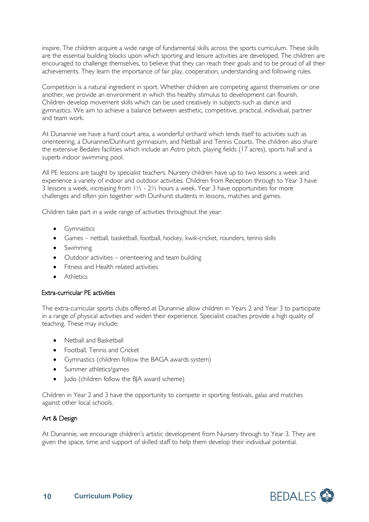inspire. The children acquire a wide range of fundamental skills across the sports curriculum. These skills are the essential building blocks upon which sporting and leisure activities are developed. The children are encouraged to challenge themselves, to believe that they can reach their goals and to be proud of all their achievements. They learn the importance of fair play, cooperation, understanding and following rules.

Competition is a natural ingredient in sport. Whether children are competing against themselves or one another, we provide an environment in which this healthy stimulus to development can flourish. Children develop movement skills which can be used creatively in subjects such as dance and gymnastics. We aim to achieve a balance between aesthetic, competitive, practical, individual, partner and team work.

At Dunannie we have a hard court area, a wonderful orchard which lends itself to activities such as orienteering, a Dunannie/Dunhurst gymnasium, and Netball and Tennis Courts. The children also share the extensive Bedales facilities which include an Astro pitch, playing fields (17 acres), sports hall and a superb indoor swimming pool.

All PE lessons are taught by specialist teachers. Nursery children have up to two lessons a week and experience a variety of indoor and outdoor activities. Children from Reception through to Year 3 have 3 lessons a week, increasing from  $1\frac{1}{2}$  -  $2\frac{1}{2}$  hours a week. Year 3 have opportunities for more challenges and often join together with Dunhurst students in lessons, matches and games.

Children take part in a wide range of activities throughout the year:

- Gymnastics
- Games netball, basketball, football, hockey, kwik-cricket, rounders, tennis skills
- Swimming
- Outdoor activities orienteering and team building
- Fitness and Health related activities
- **Athletics**

#### Extra-curricular PE activities

The extra-curricular sports clubs offered at Dunannie allow children in Years 2 and Year 3 to participate in a range of physical activities and widen their experience. Specialist coaches provide a high quality of teaching. These may include:

- Netball and Basketball
- Football, Tennis and Cricket
- Gymnastics (children follow the BAGA awards system)
- Summer athletics/games
- Judo (children follow the BJA award scheme)

Children in Year 2 and 3 have the opportunity to compete in sporting festivals, galas and matches against other local schools.

#### Art & Design

At Dunannie, we encourage children's artistic development from Nursery through to Year 3. They are given the space, time and support of skilled staff to help them develop their individual potential.

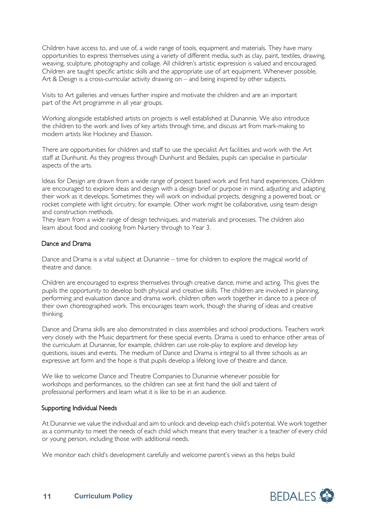Children have access to, and use of, a wide range of tools, equipment and materials. They have many opportunities to express themselves using a variety of different media, such as clay, paint, textiles, drawing, weaving, sculpture, photography and collage. All children's artistic expression is valued and encouraged. Children are taught specific artistic skills and the appropriate use of art equipment. Whenever possible, Art & Design is a cross-curricular activity drawing on – and being inspired by other subjects.

Visits to Art galleries and venues further inspire and motivate the children and are an important part of the Art programme in all year groups.

Working alongside established artists on projects is well established at Dunannie. We also introduce the children to the work and lives of key artists through time, and discuss art from mark-making to modern artists like Hockney and Eliasson.

There are opportunities for children and staff to use the specialist Art facilities and work with the Art staff at Dunhurst. As they progress through Dunhurst and Bedales, pupils can specialise in particular aspects of the arts.

Ideas for Design are drawn from a wide range of project based work and first hand experiences. Children are encouraged to explore ideas and design with a design brief or purpose in mind, adjusting and adapting their work as it develops. Sometimes they will work on individual projects, designing a powered boat, or rocket complete with light circuitry, for example. Other work might be collaborative, using team design and construction methods.

They learn from a wide range of design techniques, and materials and processes. The children also learn about food and cooking from Nursery through to Year 3.

#### Dance and Drama

Dance and Drama is a vital subject at Dunannie – time for children to explore the magical world of theatre and dance.

Children are encouraged to express themselves through creative dance, mime and acting. This gives the pupils the opportunity to develop both physical and creative skills. The children are involved in planning, performing and evaluation dance and drama work. children often work together in dance to a piece of their own choreographed work. This encourages team work, though the sharing of ideas and creative thinking.

Dance and Drama skills are also demonstrated in class assemblies and school productions. Teachers work very closely with the Music department for these special events. Drama is used to enhance other areas of the curriculum at Dunannie, for example, children can use role-play to explore and develop key questions, issues and events. The medium of Dance and Drama is integral to all three schools as an expressive art form and the hope is that pupils develop a lifelong love of theatre and dance.

We like to welcome Dance and Theatre Companies to Dunannie whenever possible for workshops and performances, so the children can see at first hand the skill and talent of professional performers and learn what it is like to be in an audience.

#### Supporting Individual Needs

At Dunannie we value the individual and aim to unlock and develop each child's potential. We work together as a community to meet the needs of each child which means that every teacher is a teacher of every child or young person, including those with additional needs.

We monitor each child's development carefully and welcome parent's views as this helps build